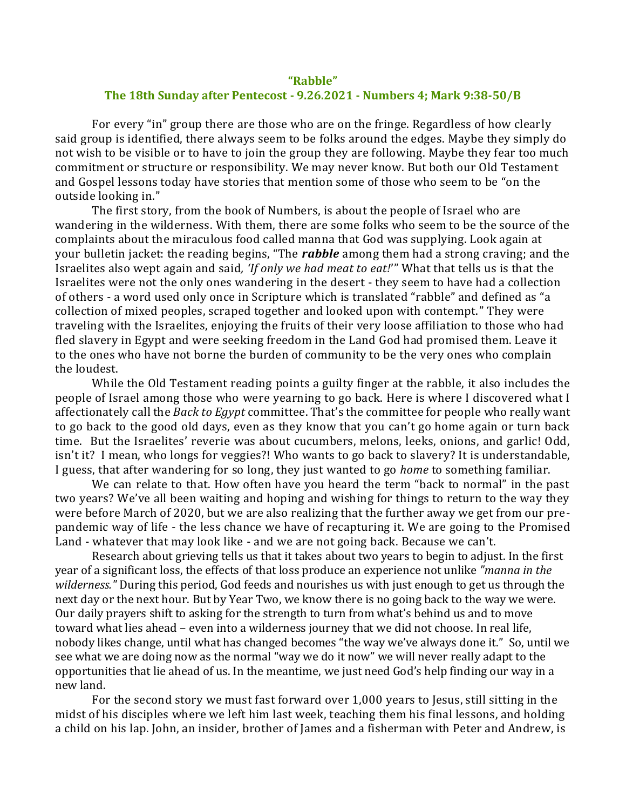## **"Rabble" The 18th Sunday after Pentecost - 9.26.2021 - Numbers 4; Mark 9:38-50/B**

For every "in" group there are those who are on the fringe. Regardless of how clearly said group is identified, there always seem to be folks around the edges. Maybe they simply do not wish to be visible or to have to join the group they are following. Maybe they fear too much commitment or structure or responsibility. We may never know. But both our Old Testament and Gospel lessons today have stories that mention some of those who seem to be "on the outside looking in."

The first story, from the book of Numbers, is about the people of Israel who are wandering in the wilderness. With them, there are some folks who seem to be the source of the complaints about the miraculous food called manna that God was supplying. Look again at your bulletin jacket: the reading begins, "The *rabble* among them had a strong craving; and the Israelites also wept again and said*, 'If only we had meat to eat!*'" What that tells us is that the Israelites were not the only ones wandering in the desert - they seem to have had a collection of others - a word used only once in Scripture which is translated "rabble" and defined as "a collection of mixed peoples, scraped together and looked upon with contempt." They were traveling with the Israelites, enjoying the fruits of their very loose affiliation to those who had fled slavery in Egypt and were seeking freedom in the Land God had promised them. Leave it to the ones who have not borne the burden of community to be the very ones who complain the loudest.

While the Old Testament reading points a guilty finger at the rabble, it also includes the people of Israel among those who were yearning to go back. Here is where I discovered what I affectionately call the *Back to Egypt* committee. That's the committee for people who really want to go back to the good old days, even as they know that you can't go home again or turn back time. But the Israelites' reverie was about cucumbers, melons, leeks, onions, and garlic! Odd, isn't it? I mean, who longs for veggies?! Who wants to go back to slavery? It is understandable, I guess, that after wandering for so long, they just wanted to go *home* to something familiar.

We can relate to that. How often have you heard the term "back to normal" in the past two years? We've all been waiting and hoping and wishing for things to return to the way they were before March of 2020, but we are also realizing that the further away we get from our prepandemic way of life - the less chance we have of recapturing it. We are going to the Promised Land - whatever that may look like - and we are not going back. Because we can't.

Research about grieving tells us that it takes about two years to begin to adjust. In the first year of a significant loss, the effects of that loss produce an experience not unlike *"manna in the wilderness."* During this period, God feeds and nourishes us with just enough to get us through the next day or the next hour. But by Year Two, we know there is no going back to the way we were. Our daily prayers shift to asking for the strength to turn from what's behind us and to move toward what lies ahead – even into a wilderness journey that we did not choose. In real life, nobody likes change, until what has changed becomes "the way we've always done it." So, until we see what we are doing now as the normal "way we do it now" we will never really adapt to the opportunities that lie ahead of us. In the meantime, we just need God's help finding our way in a new land.

For the second story we must fast forward over 1,000 years to Jesus, still sitting in the midst of his disciples where we left him last week, teaching them his final lessons, and holding a child on his lap. John, an insider, brother of James and a fisherman with Peter and Andrew, is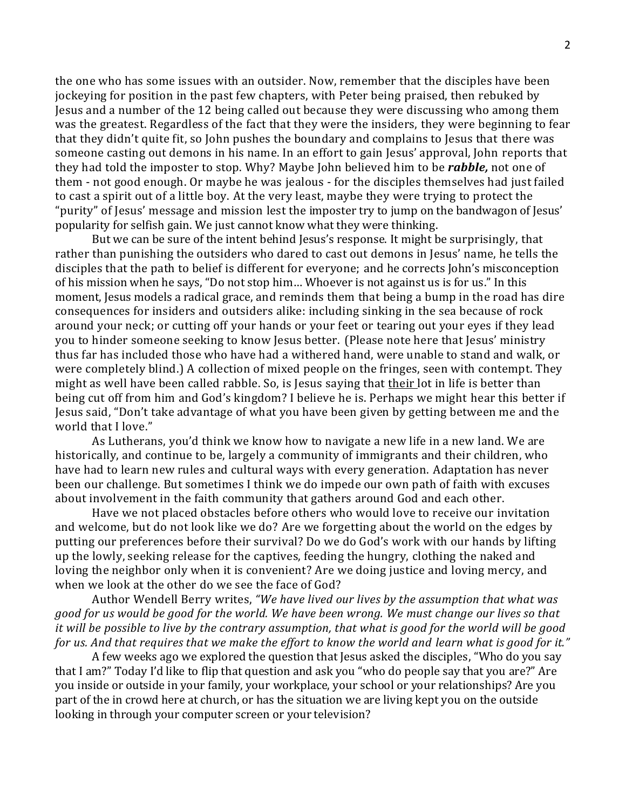the one who has some issues with an outsider. Now, remember that the disciples have been jockeying for position in the past few chapters, with Peter being praised, then rebuked by Jesus and a number of the 12 being called out because they were discussing who among them was the greatest. Regardless of the fact that they were the insiders, they were beginning to fear that they didn't quite fit, so John pushes the boundary and complains to Jesus that there was someone casting out demons in his name. In an effort to gain Jesus' approval, John reports that they had told the imposter to stop. Why? Maybe John believed him to be *rabble,* not one of them - not good enough. Or maybe he was jealous - for the disciples themselves had just failed to cast a spirit out of a little boy. At the very least, maybe they were trying to protect the "purity" of Jesus' message and mission lest the imposter try to jump on the bandwagon of Jesus' popularity for selfish gain. We just cannot know what they were thinking.

But we can be sure of the intent behind Jesus's response. It might be surprisingly, that rather than punishing the outsiders who dared to cast out demons in Jesus' name, he tells the disciples that the path to belief is different for everyone; and he corrects John's misconception of his mission when he says, "Do not stop him… Whoever is not against us is for us." In this moment, Jesus models a radical grace, and reminds them that being a bump in the road has dire consequences for insiders and outsiders alike: including sinking in the sea because of rock around your neck; or cutting off your hands or your feet or tearing out your eyes if they lead you to hinder someone seeking to know Jesus better. (Please note here that Jesus' ministry thus far has included those who have had a withered hand, were unable to stand and walk, or were completely blind.) A collection of mixed people on the fringes, seen with contempt. They might as well have been called rabble. So, is Jesus saying that their lot in life is better than being cut off from him and God's kingdom? I believe he is. Perhaps we might hear this better if Jesus said, "Don't take advantage of what you have been given by getting between me and the world that I love."

As Lutherans, you'd think we know how to navigate a new life in a new land. We are historically, and continue to be, largely a community of immigrants and their children, who have had to learn new rules and cultural ways with every generation. Adaptation has never been our challenge. But sometimes I think we do impede our own path of faith with excuses about involvement in the faith community that gathers around God and each other.

Have we not placed obstacles before others who would love to receive our invitation and welcome, but do not look like we do? Are we forgetting about the world on the edges by putting our preferences before their survival? Do we do God's work with our hands by lifting up the lowly, seeking release for the captives, feeding the hungry, clothing the naked and loving the neighbor only when it is convenient? Are we doing justice and loving mercy, and when we look at the other do we see the face of God?

Author Wendell Berry writes, *"We have lived our lives by the assumption that what was good for us would be good for the world. We have been wrong. We must change our lives so that it will be possible to live by the contrary assumption, that what is good for the world will be good for us. And that requires that we make the effort to know the world and learn what is good for it."*

A few weeks ago we explored the question that Jesus asked the disciples, "Who do you say that I am?" Today I'd like to flip that question and ask you "who do people say that you are?" Are you inside or outside in your family, your workplace, your school or your relationships? Are you part of the in crowd here at church, or has the situation we are living kept you on the outside looking in through your computer screen or your television?